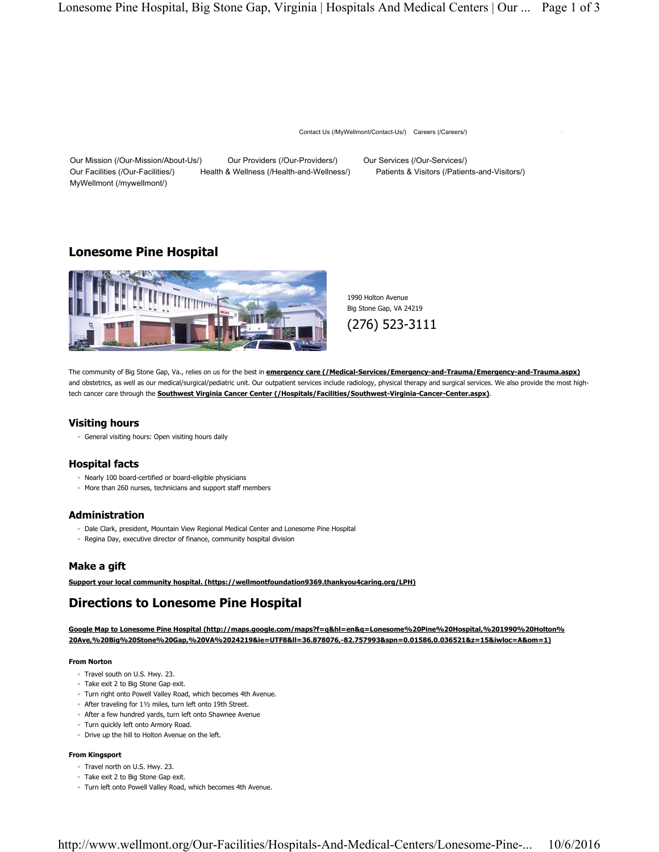Contact Us (/MyWellmont/Contact-Us/) Careers (/Careers/)

Our Mission (/Our-Mission/About-Us/) Our Providers (/Our-Providers/) Our Services (/Our-Services/) Our Facilities (/Our-Facilities/) Health & Wellness (/Health-and-Wellness/) Patients & Visitors (/Patients-and-Visitors/) MyWellmont (/mywellmont/)

# **Lonesome Pine Hospital**



1990 Holton Avenue Big Stone Gap, VA 24219

(276) 523-3111

The community of Big Stone Gap, Va., relies on us for the best in **emergency care (/Medical-Services/Emergency-and-Trauma/Emergency-and-Trauma.aspx)** and obstetrics, as well as our medical/surgical/pediatric unit. Our outpatient services include radiology, physical therapy and surgical services. We also provide the most hightech cancer care through the **Southwest Virginia Cancer Center (/Hospitals/Facilities/Southwest-Virginia-Cancer-Center.aspx)**.

## **Visiting hours**

◦ General visiting hours: Open visiting hours daily

### **Hospital facts**

- Nearly 100 board-certified or board-eligible physicians
- More than 260 nurses, technicians and support staff members

### **Administration**

- Dale Clark, president, Mountain View Regional Medical Center and Lonesome Pine Hospital
- Regina Day, executive director of finance, community hospital division

## **Make a gift**

**Support your local community hospital. (https://wellmontfoundation9369.thankyou4caring.org/LPH)**

# **Directions to Lonesome Pine Hospital**

**Google Map to Lonesome Pine Hospital (http://maps.google.com/maps?f=q&hl=en&q=Lonesome%20Pine%20Hospital,%201990%20Holton% 20Ave,%20Big%20Stone%20Gap,%20VA%2024219&ie=UTF8&ll=36.878076,-82.757993&spn=0.01586,0.036521&z=15&iwloc=A&om=1)**

#### **From Norton**

- Travel south on U.S. Hwy. 23.
- Take exit 2 to Big Stone Gap exit.
- Turn right onto Powell Valley Road, which becomes 4th Avenue.
- After traveling for 1½ miles, turn left onto 19th Street.
- After a few hundred yards, turn left onto Shawnee Avenue
- Turn quickly left onto Armory Road.
- Drive up the hill to Holton Avenue on the left.

#### **From Kingsport**

- Travel north on U.S. Hwy. 23.
- Take exit 2 to Big Stone Gap exit.
- Turn left onto Powell Valley Road, which becomes 4th Avenue.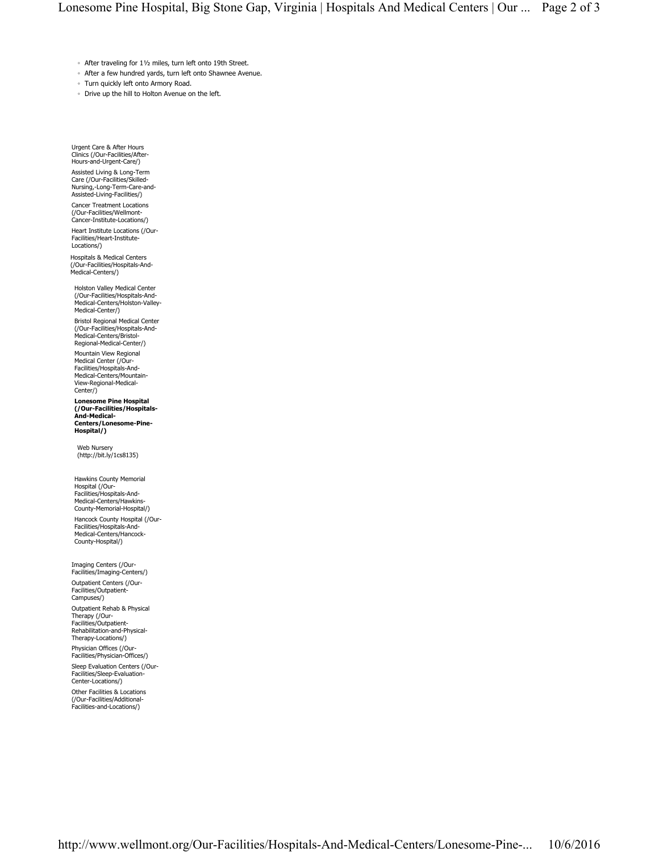- After traveling for 1½ miles, turn left onto 19th Street.
- After a few hundred yards, turn left onto Shawnee Avenue.
- Turn quickly left onto Armory Road.
- Drive up the hill to Holton Avenue on the left.

Urgent Care & After Hours Clinics (/Our-Facilities/After-Hours-and-Urgent-Care/)

Assisted Living & Long-Term Care (/Our-Facilities/Skilled-Nursing,-Long-Term-Care-and-Assisted-Living-Facilities/)

Cancer Treatment Locations (/Our-Facilities/Wellmont-Cancer-Institute-Locations/)

Heart Institute Locations (/Our-Facilities/Heart-Institute-Locations/)

Hospitals & Medical Centers (/Our-Facilities/Hospitals-And-Medical-Centers/)

Holston Valley Medical Center (/Our-Facilities/Hospitals-And-Medical-Centers/Holston-Valley-Medical-Center/)

Bristol Regional Medical Center (/Our-Facilities/Hospitals-And-Medical-Centers/Bristol-Regional-Medical-Center/)

Mountain View Regional Medical Center (/Our-Facilities/Hospitals-And-Medical-Centers/Mountain-View-Regional-Medical-Center/)

**Lonesome Pine Hospital (/Our-Facilities/Hospitals-And-Medical-Centers/Lonesome-Pine-Hospital/)**

Web Nursery (http://bit.ly/1cs8135)

Hawkins County Memorial Hospital (/Our-Facilities/Hospitals-And-Medical-Centers/Hawkins-County-Memorial-Hospital/) Hancock County Hospital (/Our-Facilities/Hospitals-And-Medical-Centers/Hancock-County-Hospital/)

Imaging Centers (/Our-Facilities/Imaging-Centers/)

Outpatient Centers (/Our-Facilities/Outpatient-Campuses/)

Outpatient Rehab & Physical Therapy (/Our-Facilities/Outpatient-Rehabilitation-and-Physical-Therapy-Locations/)

Physician Offices (/Our-

Facilities/Physician-Offices/) Sleep Evaluation Centers (/Our-Facilities/Sleep-Evaluation-Center-Locations/)

Other Facilities & Locations (/Our-Facilities/Additional-Facilities-and-Locations/)